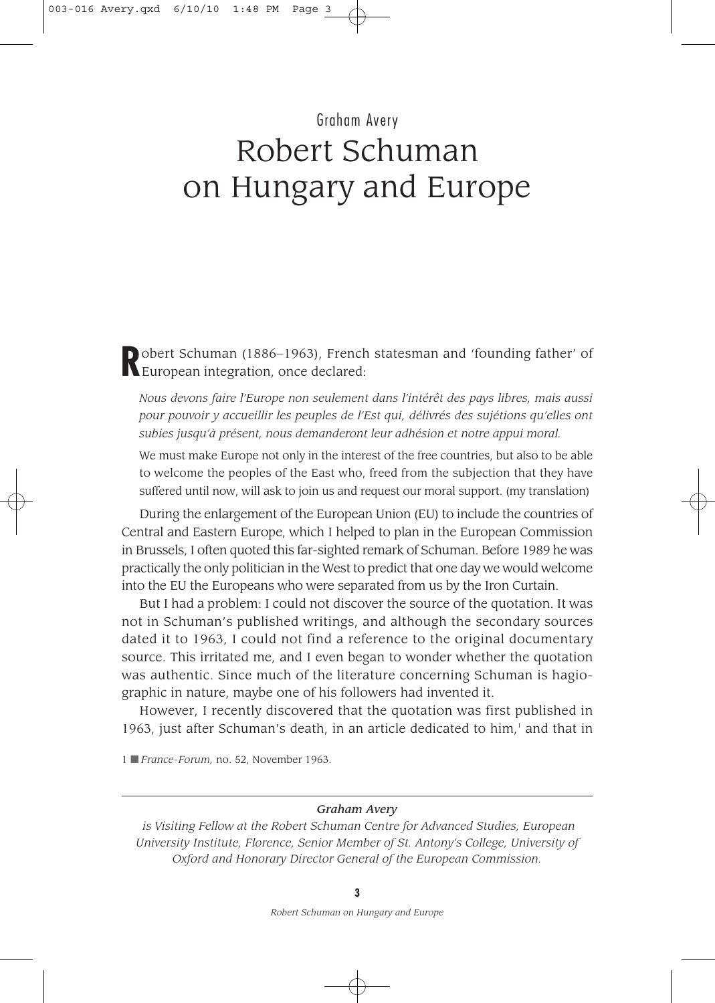# Graham Avery Robert Schuman on Hungary and Europe

**Robert Schuman (1886–1963), French statesman and 'founding father' of** European integration, once declared:

*Nous devons faire l'Europe non seulement dans l'intérêt des pays libres, mais aussi pour pouvoir y accueillir les peuples de l'Est qui, délivrés des sujétions qu'elles ont subies jusqu'à présent, nous demanderont leur adhésion et notre appui moral.*

We must make Europe not only in the interest of the free countries, but also to be able to welcome the peoples of the East who, freed from the subjection that they have suffered until now, will ask to join us and request our moral support. (my translation)

During the enlargement of the European Union (EU) to include the countries of Central and Eastern Europe, which I helped to plan in the European Commission in Brussels, I often quoted this far-sighted remark of Schuman. Before 1989 he was practically the only politician in the West to predict that one day we would welcome into the EU the Europeans who were separated from us by the Iron Curtain.

But I had a problem: I could not discover the source of the quotation. It was not in Schuman's published writings, and although the secondary sources dated it to 1963, I could not find a reference to the original documentary source. This irritated me, and I even began to wonder whether the quotation was authentic. Since much of the literature concerning Schuman is hagiographic in nature, maybe one of his followers had invented it.

However, I recently discovered that the quotation was first published in 1963, just after Schuman's death, in an article dedicated to  $\lim_{t \to 0} 1$  and that in

1 ■ *France-Forum,* no. 52, November 1963.

#### *Graham Avery*

*is Visiting Fellow at the Robert Schuman Centre for Advanced Studies, European University Institute, Florence, Senior Member of St. Antony's College, University of Oxford and Honorary Director General of the European Commission.*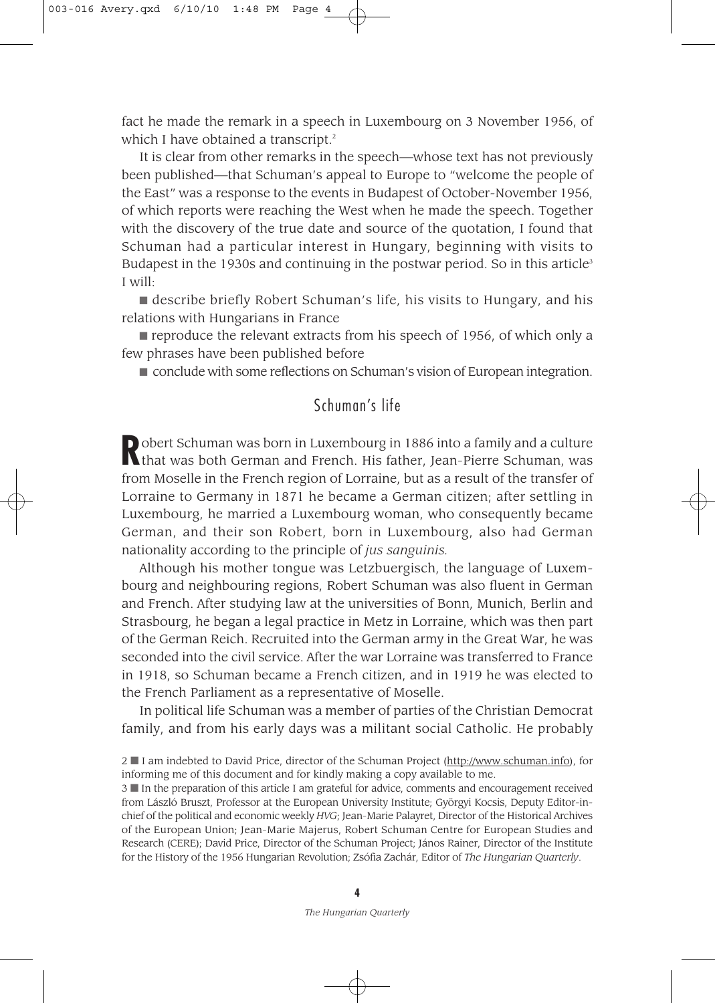fact he made the remark in a speech in Luxembourg on 3 November 1956, of which I have obtained a transcript.<sup>2</sup>

It is clear from other remarks in the speech—whose text has not previously been published—that Schuman's appeal to Europe to "welcome the people of the East" was a response to the events in Budapest of October-November 1956, of which reports were reaching the West when he made the speech. Together with the discovery of the true date and source of the quotation, I found that Schuman had a particular interest in Hungary, beginning with visits to Budapest in the 1930s and continuing in the postwar period. So in this article<sup>3</sup> I will:

■ describe briefly Robert Schuman's life, his visits to Hungary, and his relations with Hungarians in France

■ reproduce the relevant extracts from his speech of 1956, of which only a few phrases have been published before

■ conclude with some reflections on Schuman's vision of European integration.

## Schuman's life

**Robert Schuman was born in Luxembourg in 1886 into a family and a culture<br>that was both German and French. His father, Jean-Pierre Schuman, was** from Moselle in the French region of Lorraine, but as a result of the transfer of Lorraine to Germany in 1871 he became a German citizen; after settling in Luxembourg, he married a Luxembourg woman, who consequently became German, and their son Robert, born in Luxembourg, also had German nationality according to the principle of *jus sanguinis.*

Although his mother tongue was Letzbuergisch, the language of Luxembourg and neighbouring regions, Robert Schuman was also fluent in German and French. After studying law at the universities of Bonn, Munich, Berlin and Strasbourg, he began a legal practice in Metz in Lorraine, which was then part of the German Reich. Recruited into the German army in the Great War, he was seconded into the civil service. After the war Lorraine was transferred to France in 1918, so Schuman became a French citizen, and in 1919 he was elected to the French Parliament as a representative of Moselle.

In political life Schuman was a member of parties of the Christian Democrat family, and from his early days was a militant social Catholic. He probably

3 ■ In the preparation of this article I am grateful for advice, comments and encouragement received from László Bruszt, Professor at the European University Institute; Györgyi Kocsis, Deputy Editor-inchief of the political and economic weekly *HVG*; Jean-Marie Palayret, Director of the Historical Archives of the European Union; Jean-Marie Majerus, Robert Schuman Centre for European Studies and Research (CERE); David Price, Director of the Schuman Project; János Rainer, Director of the Institute for the History of the 1956 Hungarian Revolution; Zsófia Zachár, Editor of *The Hungarian Quarterly*.

<sup>2</sup> ■ I am indebted to David Price, director of the Schuman Project (http://www.schuman.info), for informing me of this document and for kindly making a copy available to me.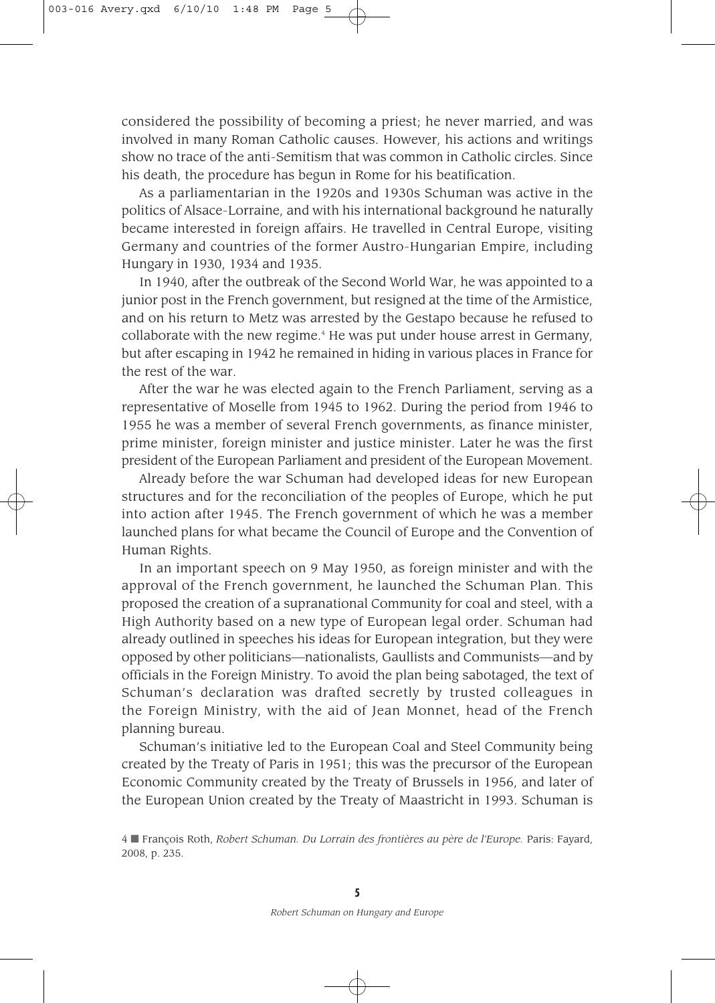considered the possibility of becoming a priest; he never married, and was involved in many Roman Catholic causes. However, his actions and writings show no trace of the anti-Semitism that was common in Catholic circles. Since his death, the procedure has begun in Rome for his beatification.

As a parliamentarian in the 1920s and 1930s Schuman was active in the politics of Alsace-Lorraine, and with his international background he naturally became interested in foreign affairs. He travelled in Central Europe, visiting Germany and countries of the former Austro-Hungarian Empire, including Hungary in 1930, 1934 and 1935.

In 1940, after the outbreak of the Second World War, he was appointed to a junior post in the French government, but resigned at the time of the Armistice, and on his return to Metz was arrested by the Gestapo because he refused to collaborate with the new regime.<sup>4</sup> He was put under house arrest in Germany, but after escaping in 1942 he remained in hiding in various places in France for the rest of the war.

After the war he was elected again to the French Parliament, serving as a representative of Moselle from 1945 to 1962. During the period from 1946 to 1955 he was a member of several French governments, as finance minister, prime minister, foreign minister and justice minister. Later he was the first president of the European Parliament and president of the European Movement.

Already before the war Schuman had developed ideas for new European structures and for the reconciliation of the peoples of Europe, which he put into action after 1945. The French government of which he was a member launched plans for what became the Council of Europe and the Convention of Human Rights.

In an important speech on 9 May 1950, as foreign minister and with the approval of the French government, he launched the Schuman Plan. This proposed the creation of a supranational Community for coal and steel, with a High Authority based on a new type of European legal order. Schuman had already outlined in speeches his ideas for European integration, but they were opposed by other politicians—nationalists, Gaullists and Communists—and by officials in the Foreign Ministry. To avoid the plan being sabotaged, the text of Schuman's declaration was drafted secretly by trusted colleagues in the Foreign Ministry, with the aid of Jean Monnet, head of the French planning bureau.

Schuman's initiative led to the European Coal and Steel Community being created by the Treaty of Paris in 1951; this was the precursor of the European Economic Community created by the Treaty of Brussels in 1956, and later of the European Union created by the Treaty of Maastricht in 1993. Schuman is

<sup>4</sup> ■ François Roth, *Robert Schuman. Du Lorrain des frontières au père de l'Europe.* Paris: Fayard, 2008, p. 235.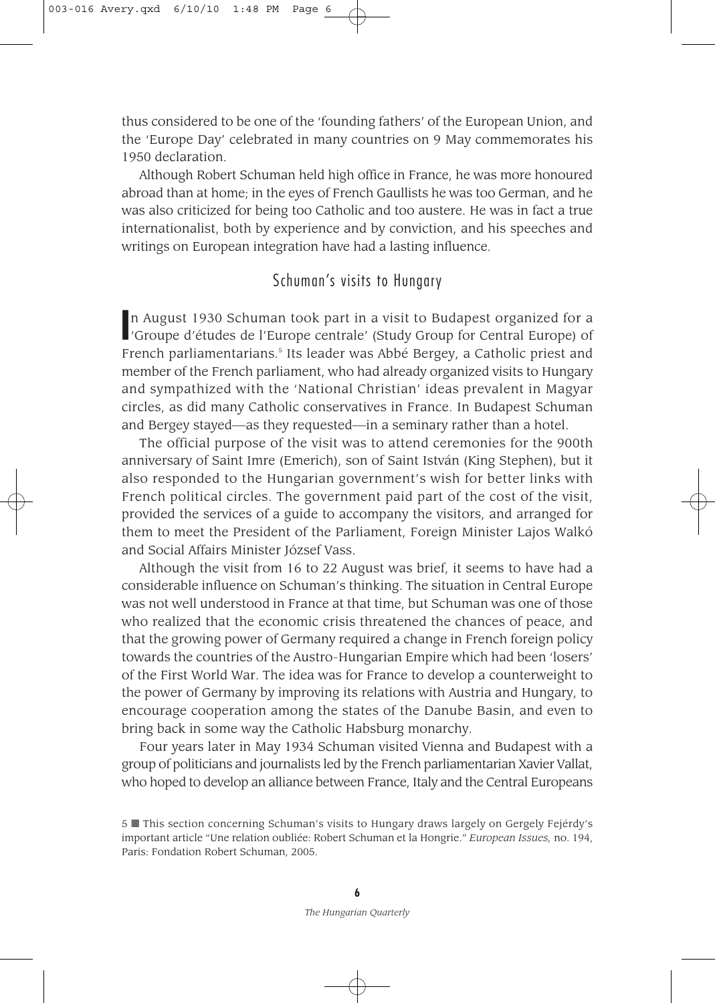thus considered to be one of the 'founding fathers' of the European Union, and the 'Europe Day' celebrated in many countries on 9 May commemorates his 1950 declaration.

Although Robert Schuman held high office in France, he was more honoured abroad than at home; in the eyes of French Gaullists he was too German, and he was also criticized for being too Catholic and too austere. He was in fact a true internationalist, both by experience and by conviction, and his speeches and writings on European integration have had a lasting influence.

## Schuman's visits to Hungary

In August 1930 Schuman took part in a visit to Budapest organized for a<br>
'Groupe d'études de l'Europe centrale' (Study Group for Central Europe) of 'Groupe d'études de l'Europe centrale' (Study Group for Central Europe) of French parliamentarians.<sup>5</sup> Its leader was Abbé Bergey, a Catholic priest and member of the French parliament, who had already organized visits to Hungary and sympathized with the 'National Christian' ideas prevalent in Magyar circles, as did many Catholic conservatives in France. In Budapest Schuman and Bergey stayed—as they requested—in a seminary rather than a hotel.

The official purpose of the visit was to attend ceremonies for the 900th anniversary of Saint Imre (Emerich), son of Saint István (King Stephen), but it also responded to the Hungarian government's wish for better links with French political circles. The government paid part of the cost of the visit, provided the services of a guide to accompany the visitors, and arranged for them to meet the President of the Parliament, Foreign Minister Lajos Walkó and Social Affairs Minister József Vass.

Although the visit from 16 to 22 August was brief, it seems to have had a considerable influence on Schuman's thinking. The situation in Central Europe was not well understood in France at that time, but Schuman was one of those who realized that the economic crisis threatened the chances of peace, and that the growing power of Germany required a change in French foreign policy towards the countries of the Austro-Hungarian Empire which had been 'losers' of the First World War. The idea was for France to develop a counterweight to the power of Germany by improving its relations with Austria and Hungary, to encourage cooperation among the states of the Danube Basin, and even to bring back in some way the Catholic Habsburg monarchy.

Four years later in May 1934 Schuman visited Vienna and Budapest with a group of politicians and journalists led by the French parliamentarian Xavier Vallat, who hoped to develop an alliance between France, Italy and the Central Europeans

<sup>5</sup> ■ This section concerning Schuman's visits to Hungary draws largely on Gergely Fejérdy's important article "Une relation oubliée: Robert Schuman et la Hongrie." *European Issues,* no. 194, Paris: Fondation Robert Schuman, 2005.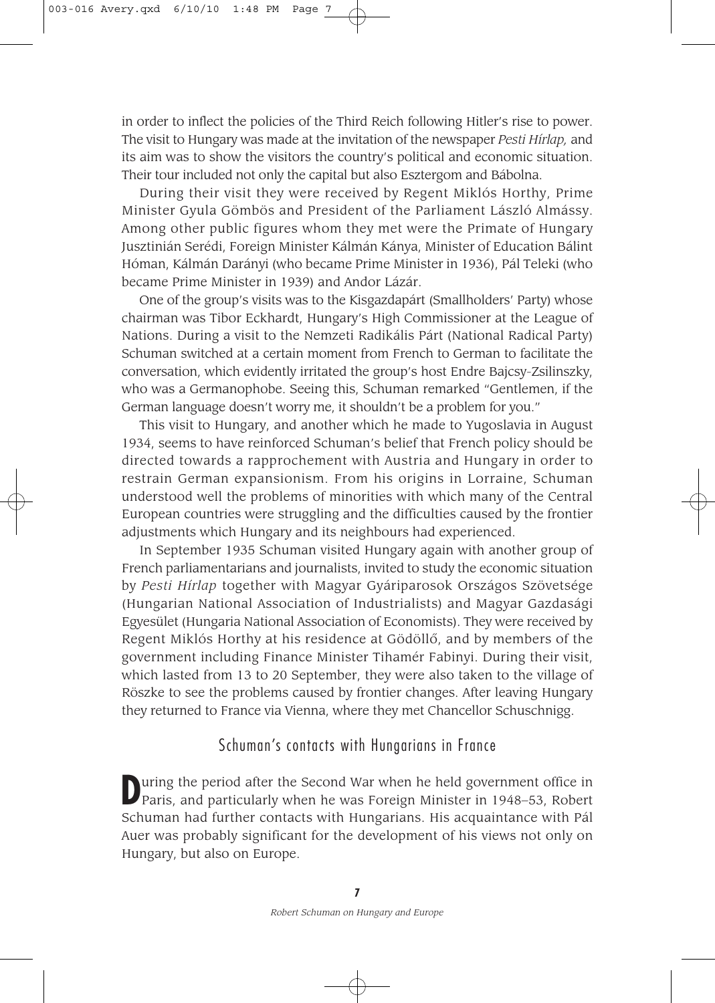in order to inflect the policies of the Third Reich following Hitler's rise to power. The visit to Hungary was made at the invitation of the newspaper *Pesti Hírlap,* and its aim was to show the visitors the country's political and economic situation. Their tour included not only the capital but also Esztergom and Bábolna.

During their visit they were received by Regent Miklós Horthy, Prime Minister Gyula Gömbös and President of the Parliament László Almássy. Among other public figures whom they met were the Primate of Hungary Jusztinián Serédi, Foreign Minister Kálmán Kánya, Minister of Education Bálint Hóman, Kálmán Darányi (who became Prime Minister in 1936), Pál Teleki (who became Prime Minister in 1939) and Andor Lázár.

One of the group's visits was to the Kisgazdapárt (Smallholders' Party) whose chairman was Tibor Eckhardt, Hungary's High Commissioner at the League of Nations. During a visit to the Nemzeti Radikális Párt (National Radical Party) Schuman switched at a certain moment from French to German to facilitate the conversation, which evidently irritated the group's host Endre Bajcsy-Zsilinszky, who was a Germanophobe. Seeing this, Schuman remarked "Gentlemen, if the German language doesn't worry me, it shouldn't be a problem for you."

This visit to Hungary, and another which he made to Yugoslavia in August 1934, seems to have reinforced Schuman's belief that French policy should be directed towards a rapprochement with Austria and Hungary in order to restrain German expansionism. From his origins in Lorraine, Schuman understood well the problems of minorities with which many of the Central European countries were struggling and the difficulties caused by the frontier adjustments which Hungary and its neighbours had experienced.

In September 1935 Schuman visited Hungary again with another group of French parliamentarians and journalists, invited to study the economic situation by *Pesti Hírlap* together with Magyar Gyáriparosok Országos Szövetsége (Hungarian National Association of Industrialists) and Magyar Gazdasági Egyesület (Hungaria National Association of Economists). They were received by Regent Miklós Horthy at his residence at Gödöllô, and by members of the government including Finance Minister Tihamér Fabinyi. During their visit, which lasted from 13 to 20 September, they were also taken to the village of Röszke to see the problems caused by frontier changes. After leaving Hungary they returned to France via Vienna, where they met Chancellor Schuschnigg.

### Schuman's contacts with Hungarians in France

**D**uring the period after the Second War when he held government office in Paris, and particularly when he was Foreign Minister in 1948–53, Robert Schuman had further contacts with Hungarians. His acquaintance with Pál Auer was probably significant for the development of his views not only on Hungary, but also on Europe.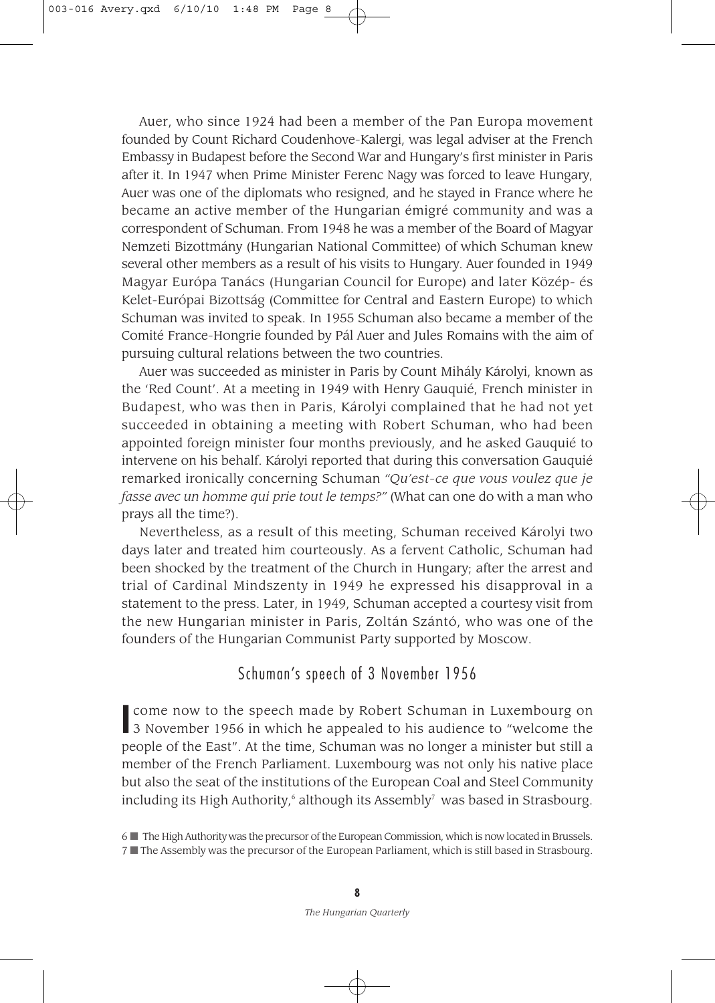Auer, who since 1924 had been a member of the Pan Europa movement founded by Count Richard Coudenhove-Kalergi, was legal adviser at the French Embassy in Budapest before the Second War and Hungary's first minister in Paris after it. In 1947 when Prime Minister Ferenc Nagy was forced to leave Hungary, Auer was one of the diplomats who resigned, and he stayed in France where he became an active member of the Hungarian émigré community and was a correspondent of Schuman. From 1948 he was a member of the Board of Magyar Nemzeti Bizottmány (Hungarian National Committee) of which Schuman knew several other members as a result of his visits to Hungary. Auer founded in 1949 Magyar Európa Tanács (Hungarian Council for Europe) and later Közép- és Kelet-Európai Bizottság (Committee for Central and Eastern Europe) to which Schuman was invited to speak. In 1955 Schuman also became a member of the Comité France-Hongrie founded by Pál Auer and Jules Romains with the aim of pursuing cultural relations between the two countries.

Auer was succeeded as minister in Paris by Count Mihály Károlyi, known as the 'Red Count'. At a meeting in 1949 with Henry Gauquié, French minister in Budapest, who was then in Paris, Károlyi complained that he had not yet succeeded in obtaining a meeting with Robert Schuman, who had been appointed foreign minister four months previously, and he asked Gauquié to intervene on his behalf. Károlyi reported that during this conversation Gauquié remarked ironically concerning Schuman *"Qu'est-ce que vous voulez que je fasse avec un homme qui prie tout le temps?"* (What can one do with a man who prays all the time?).

Nevertheless, as a result of this meeting, Schuman received Károlyi two days later and treated him courteously. As a fervent Catholic, Schuman had been shocked by the treatment of the Church in Hungary; after the arrest and trial of Cardinal Mindszenty in 1949 he expressed his disapproval in a statement to the press. Later, in 1949, Schuman accepted a courtesy visit from the new Hungarian minister in Paris, Zoltán Szántó, who was one of the founders of the Hungarian Communist Party supported by Moscow.

#### Schuman's speech of 3 November 1956

**I** come now to the speech made by Robert Schuman in Luxembourg on 3 November 1956 in which he appealed to his audience to "welcome the come now to the speech made by Robert Schuman in Luxembourg on people of the East". At the time, Schuman was no longer a minister but still a member of the French Parliament. Luxembourg was not only his native place but also the seat of the institutions of the European Coal and Steel Community including its High Authority,<sup>6</sup> although its Assembly<sup>7</sup> was based in Strasbourg.

<sup>6</sup> ■ The High Authority was the precursor of the European Commission, which is now located in Brussels. 7 ■ The Assembly was the precursor of the European Parliament, which is still based in Strasbourg.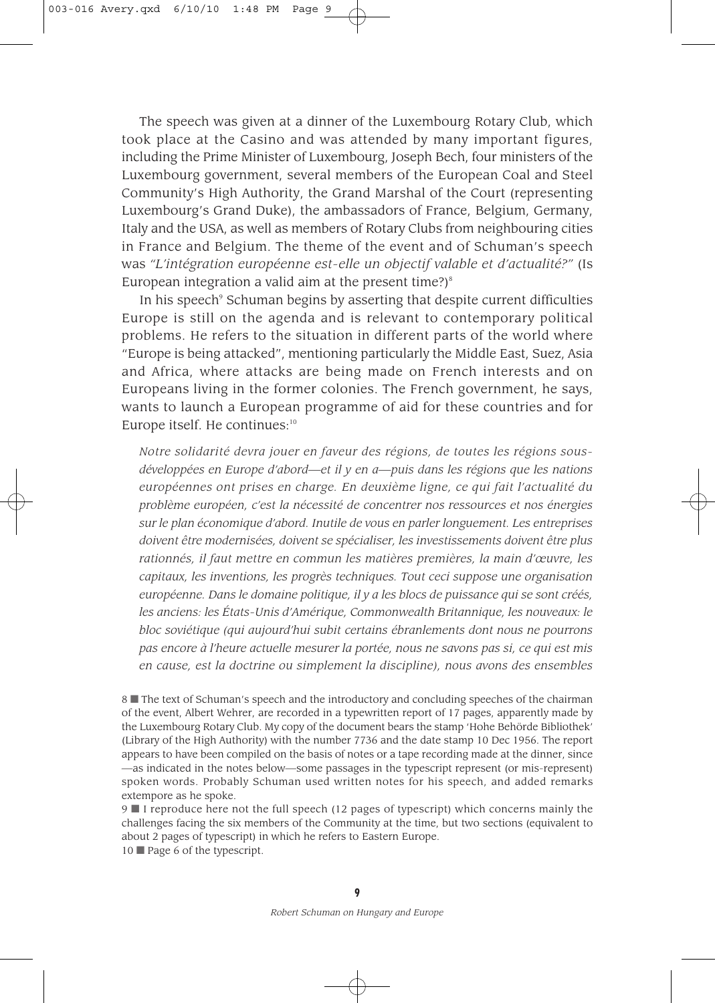The speech was given at a dinner of the Luxembourg Rotary Club, which took place at the Casino and was attended by many important figures, including the Prime Minister of Luxembourg, Joseph Bech, four ministers of the Luxembourg government, several members of the European Coal and Steel Community's High Authority, the Grand Marshal of the Court (representing Luxembourg's Grand Duke), the ambassadors of France, Belgium, Germany, Italy and the USA, as well as members of Rotary Clubs from neighbouring cities in France and Belgium. The theme of the event and of Schuman's speech was *"L'intégration européenne est-elle un objectif valable et d'actualité?"* (Is European integration a valid aim at the present time?) $^{\circ}$ 

In his speech<sup>9</sup> Schuman begins by asserting that despite current difficulties Europe is still on the agenda and is relevant to contemporary political problems. He refers to the situation in different parts of the world where "Europe is being attacked", mentioning particularly the Middle East, Suez, Asia and Africa, where attacks are being made on French interests and on Europeans living in the former colonies. The French government, he says, wants to launch a European programme of aid for these countries and for Europe itself. He continues:<sup>10</sup>

*Notre solidarité devra jouer en faveur des régions, de toutes les régions sousdéveloppées en Europe d'abord—et il y en a—puis dans les régions que les nations européennes ont prises en charge. En deuxième ligne, ce qui fait l'actualité du problème européen, c'est la nécessité de concentrer nos ressources et nos énergies sur le plan économique d'abord. Inutile de vous en parler longuement. Les entreprises doivent être modernisées, doivent se spécialiser, les investissements doivent être plus rationnés, il faut mettre en commun les matières premières, la main d'œuvre, les capitaux, les inventions, les progrès techniques. Tout ceci suppose une organisation européenne. Dans le domaine politique, il y a les blocs de puissance qui se sont créés, les anciens: les États-Unis d'Amérique, Commonwealth Britannique, les nouveaux: le bloc soviétique (qui aujourd'hui subit certains ébranlements dont nous ne pourrons pas encore à l'heure actuelle mesurer la portée, nous ne savons pas si, ce qui est mis en cause, est la doctrine ou simplement la discipline), nous avons des ensembles*

8 **The text of Schuman's speech and the introductory and concluding speeches of the chairman** of the event, Albert Wehrer, are recorded in a typewritten report of 17 pages, apparently made by the Luxembourg Rotary Club. My copy of the document bears the stamp 'Hohe Behörde Bibliothek' (Library of the High Authority) with the number 7736 and the date stamp 10 Dec 1956. The report appears to have been compiled on the basis of notes or a tape recording made at the dinner, since —as indicated in the notes below—some passages in the typescript represent (or mis-represent) spoken words. Probably Schuman used written notes for his speech, and added remarks extempore as he spoke.

9 ■ I reproduce here not the full speech (12 pages of typescript) which concerns mainly the challenges facing the six members of the Community at the time, but two sections (equivalent to about 2 pages of typescript) in which he refers to Eastern Europe.

10 ■ Page 6 of the typescript.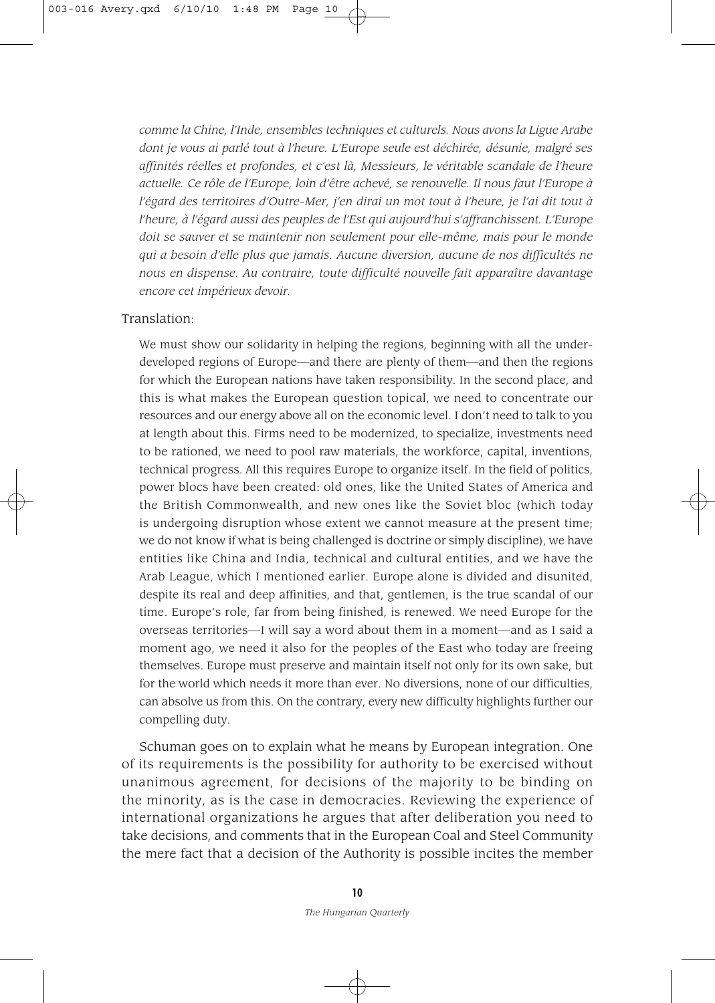*comme la Chine, l'Inde, ensembles techniques et culturels. Nous avons la Ligue Arabe dont je vous ai parlé tout à l'heure. L'Europe seule est déchirée, désunie, malgré ses affinités réelles et profondes, et c'est là, Messieurs, le véritable scandale de l'heure actuelle. Ce roˆle de l'Europe, loin d'être achevé, se renouvelle. Il nous faut l'Europe à l'égard des territoires d'Outre-Mer, j'en dirai un mot tout à l'heure, je l'ai dit tout à l'heure, à l'égard aussi des peuples de l'Est qui aujourd'hui s'affranchissent. L'Europe doit se sauver et se maintenir non seulement pour elle-même, mais pour le monde qui a besoin d'elle plus que jamais. Aucune diversion, aucune de nos difficultés ne nous en dispense. Au contraire, toute difficulté nouvelle fait apparaître davantage encore cet impérieux devoir.* 

#### Translation:

We must show our solidarity in helping the regions, beginning with all the underdeveloped regions of Europe—and there are plenty of them—and then the regions for which the European nations have taken responsibility. In the second place, and this is what makes the European question topical, we need to concentrate our resources and our energy above all on the economic level. I don't need to talk to you at length about this. Firms need to be modernized, to specialize, investments need to be rationed, we need to pool raw materials, the workforce, capital, inventions, technical progress. All this requires Europe to organize itself. In the field of politics, power blocs have been created: old ones, like the United States of America and the British Commonwealth, and new ones like the Soviet bloc (which today is undergoing disruption whose extent we cannot measure at the present time; we do not know if what is being challenged is doctrine or simply discipline), we have entities like China and India, technical and cultural entities, and we have the Arab League, which I mentioned earlier. Europe alone is divided and disunited, despite its real and deep affinities, and that, gentlemen, is the true scandal of our time. Europe's role, far from being finished, is renewed. We need Europe for the overseas territories—I will say a word about them in a moment—and as I said a moment ago, we need it also for the peoples of the East who today are freeing themselves. Europe must preserve and maintain itself not only for its own sake, but for the world which needs it more than ever. No diversions, none of our difficulties, can absolve us from this. On the contrary, every new difficulty highlights further our compelling duty.

Schuman goes on to explain what he means by European integration. One of its requirements is the possibility for authority to be exercised without unanimous agreement, for decisions of the majority to be binding on the minority, as is the case in democracies. Reviewing the experience of international organizations he argues that after deliberation you need to take decisions, and comments that in the European Coal and Steel Community the mere fact that a decision of the Authority is possible incites the member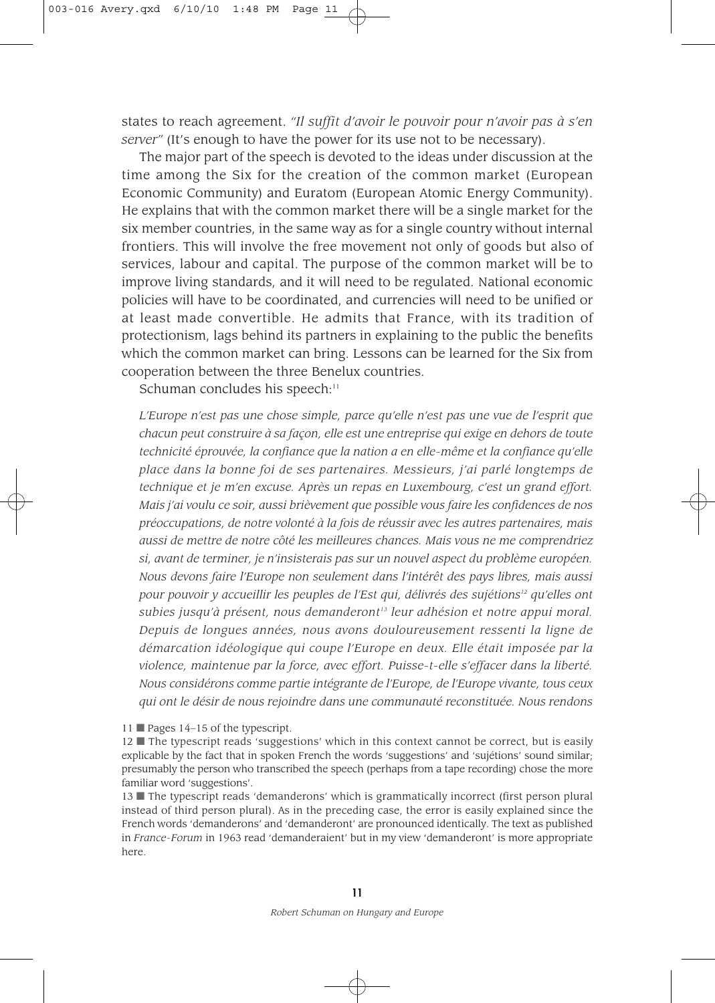states to reach agreement. *"Il suffit d'avoir le pouvoir pour n'avoir pas à s'en server"* (It's enough to have the power for its use not to be necessary).

The major part of the speech is devoted to the ideas under discussion at the time among the Six for the creation of the common market (European Economic Community) and Euratom (European Atomic Energy Community). He explains that with the common market there will be a single market for the six member countries, in the same way as for a single country without internal frontiers. This will involve the free movement not only of goods but also of services, labour and capital. The purpose of the common market will be to improve living standards, and it will need to be regulated. National economic policies will have to be coordinated, and currencies will need to be unified or at least made convertible. He admits that France, with its tradition of protectionism, lags behind its partners in explaining to the public the benefits which the common market can bring. Lessons can be learned for the Six from cooperation between the three Benelux countries.

Schuman concludes his speech:<sup>11</sup>

*L'Europe n'est pas une chose simple, parce qu'elle n'est pas une vue de l'esprit que chacun peut construire à sa façon, elle est une entreprise qui exige en dehors de toute technicité éprouvée, la confiance que la nation a en elle-même et la confiance qu'elle place dans la bonne foi de ses partenaires. Messieurs, j'ai parlé longtemps de technique et je m'en excuse. Après un repas en Luxembourg, c'est un grand effort. Mais j'ai voulu ce soir, aussi brièvement que possible vous faire les confidences de nos préoccupations, de notre volonté à la fois de réussir avec les autres partenaires, mais aussi de mettre de notre coˆté les meilleures chances. Mais vous ne me comprendriez si, avant de terminer, je n'insisterais pas sur un nouvel aspect du problème européen. Nous devons faire l'Europe non seulement dans l'intérêt des pays libres, mais aussi pour pouvoir y accueillir les peuples de l'Est qui, délivrés des sujétions12 qu'elles ont subies jusqu'à présent, nous demanderont13 leur adhésion et notre appui moral. Depuis de longues années, nous avons douloureusement ressenti la ligne de démarcation idéologique qui coupe l'Europe en deux. Elle était imposée par la violence, maintenue par la force, avec effort. Puisse-t-elle s'effacer dans la liberté. Nous considérons comme partie intégrante de l'Europe, de l'Europe vivante, tous ceux qui ont le désir de nous rejoindre dans une communauté reconstituée. Nous rendons*

11 ■ Pages 14–15 of the typescript.

12 ■ The typescript reads 'suggestions' which in this context cannot be correct, but is easily explicable by the fact that in spoken French the words 'suggestions' and 'sujétions' sound similar; presumably the person who transcribed the speech (perhaps from a tape recording) chose the more familiar word 'suggestions'.

13 ■ The typescript reads 'demanderons' which is grammatically incorrect (first person plural instead of third person plural). As in the preceding case, the error is easily explained since the French words 'demanderons' and 'demanderont' are pronounced identically. The text as published in *France-Forum* in 1963 read 'demanderaient' but in my view 'demanderont' is more appropriate here.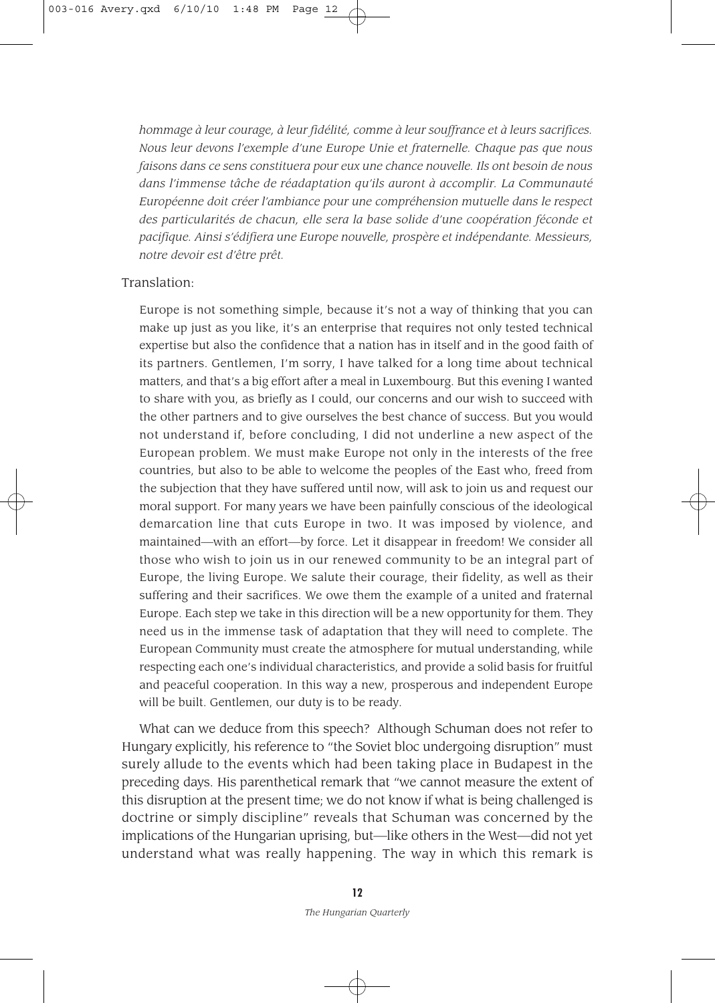*hommage à leur courage, à leur fidélité, comme à leur souffrance et à leurs sacrifices. Nous leur devons l'exemple d'une Europe Unie et fraternelle. Chaque pas que nous faisons dans ce sens constituera pour eux une chance nouvelle. Ils ont besoin de nous dans l'immense tâche de réadaptation qu'ils auront à accomplir. La Communauté Européenne doit créer l'ambiance pour une compréhension mutuelle dans le respect des particularités de chacun, elle sera la base solide d'une coopération féconde et pacifique. Ainsi s'édifiera une Europe nouvelle, prospère et indépendante. Messieurs, notre devoir est d'être prêt.*

#### Translation:

Europe is not something simple, because it's not a way of thinking that you can make up just as you like, it's an enterprise that requires not only tested technical expertise but also the confidence that a nation has in itself and in the good faith of its partners. Gentlemen, I'm sorry, I have talked for a long time about technical matters, and that's a big effort after a meal in Luxembourg. But this evening I wanted to share with you, as briefly as I could, our concerns and our wish to succeed with the other partners and to give ourselves the best chance of success. But you would not understand if, before concluding, I did not underline a new aspect of the European problem. We must make Europe not only in the interests of the free countries, but also to be able to welcome the peoples of the East who, freed from the subjection that they have suffered until now, will ask to join us and request our moral support. For many years we have been painfully conscious of the ideological demarcation line that cuts Europe in two. It was imposed by violence, and maintained—with an effort—by force. Let it disappear in freedom! We consider all those who wish to join us in our renewed community to be an integral part of Europe, the living Europe. We salute their courage, their fidelity, as well as their suffering and their sacrifices. We owe them the example of a united and fraternal Europe. Each step we take in this direction will be a new opportunity for them. They need us in the immense task of adaptation that they will need to complete. The European Community must create the atmosphere for mutual understanding, while respecting each one's individual characteristics, and provide a solid basis for fruitful and peaceful cooperation. In this way a new, prosperous and independent Europe will be built. Gentlemen, our duty is to be ready.

What can we deduce from this speech? Although Schuman does not refer to Hungary explicitly, his reference to "the Soviet bloc undergoing disruption" must surely allude to the events which had been taking place in Budapest in the preceding days. His parenthetical remark that "we cannot measure the extent of this disruption at the present time; we do not know if what is being challenged is doctrine or simply discipline" reveals that Schuman was concerned by the implications of the Hungarian uprising, but—like others in the West—did not yet understand what was really happening. The way in which this remark is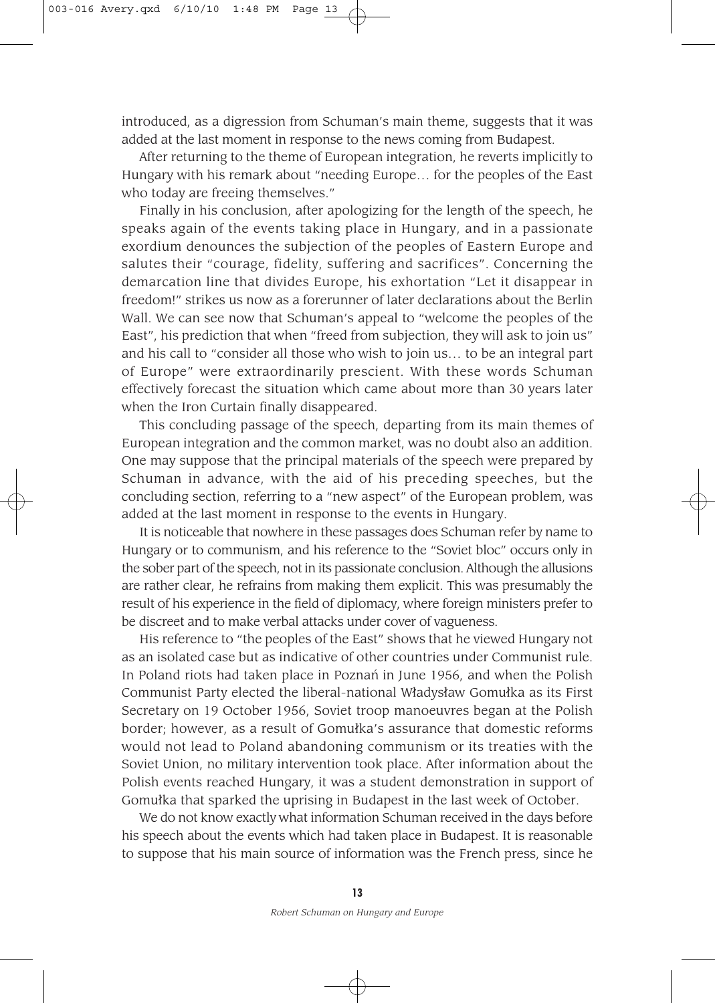introduced, as a digression from Schuman's main theme, suggests that it was added at the last moment in response to the news coming from Budapest.

After returning to the theme of European integration, he reverts implicitly to Hungary with his remark about "needing Europe… for the peoples of the East who today are freeing themselves."

Finally in his conclusion, after apologizing for the length of the speech, he speaks again of the events taking place in Hungary, and in a passionate exordium denounces the subjection of the peoples of Eastern Europe and salutes their "courage, fidelity, suffering and sacrifices". Concerning the demarcation line that divides Europe, his exhortation "Let it disappear in freedom!" strikes us now as a forerunner of later declarations about the Berlin Wall. We can see now that Schuman's appeal to "welcome the peoples of the East", his prediction that when "freed from subjection, they will ask to join us" and his call to "consider all those who wish to join us… to be an integral part of Europe" were extraordinarily prescient. With these words Schuman effectively forecast the situation which came about more than 30 years later when the Iron Curtain finally disappeared.

This concluding passage of the speech, departing from its main themes of European integration and the common market, was no doubt also an addition. One may suppose that the principal materials of the speech were prepared by Schuman in advance, with the aid of his preceding speeches, but the concluding section, referring to a "new aspect" of the European problem, was added at the last moment in response to the events in Hungary.

It is noticeable that nowhere in these passages does Schuman refer by name to Hungary or to communism, and his reference to the "Soviet bloc" occurs only in the sober part of the speech, not in its passionate conclusion. Although the allusions are rather clear, he refrains from making them explicit. This was presumably the result of his experience in the field of diplomacy, where foreign ministers prefer to be discreet and to make verbal attacks under cover of vagueness.

His reference to "the peoples of the East" shows that he viewed Hungary not as an isolated case but as indicative of other countries under Communist rule. In Poland riots had taken place in Poznań in June 1956, and when the Polish Communist Party elected the liberal-national Wladyslaw Gomulka as its First Secretary on 19 October 1956, Soviet troop manoeuvres began at the Polish border; however, as a result of Gomulka's assurance that domestic reforms would not lead to Poland abandoning communism or its treaties with the Soviet Union, no military intervention took place. After information about the Polish events reached Hungary, it was a student demonstration in support of Gomulka that sparked the uprising in Budapest in the last week of October.

We do not know exactly what information Schuman received in the days before his speech about the events which had taken place in Budapest. It is reasonable to suppose that his main source of information was the French press, since he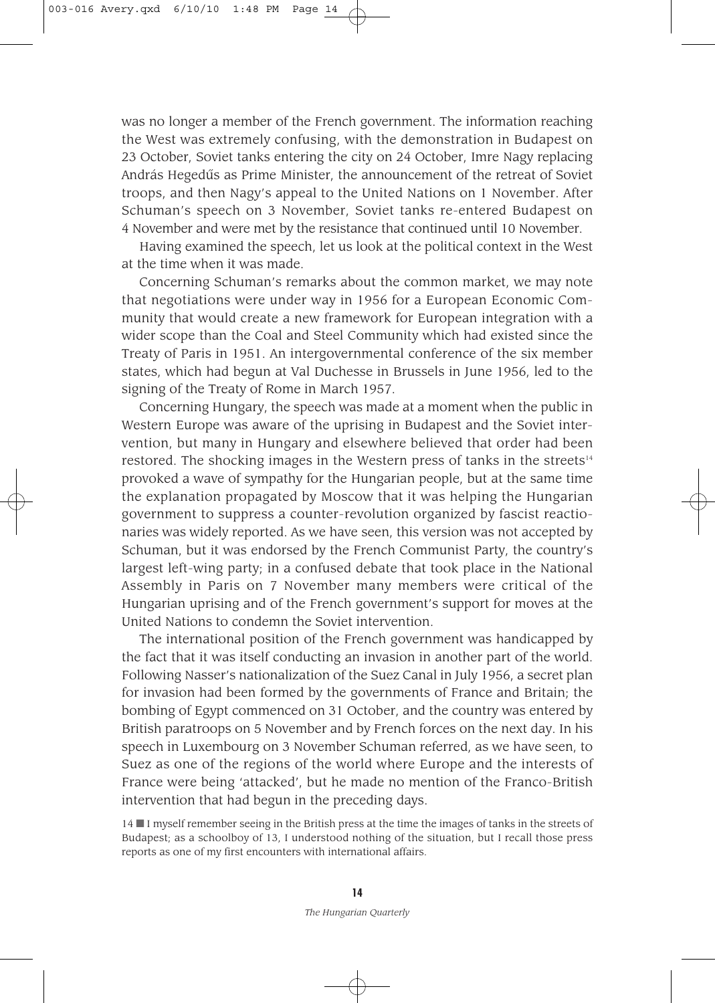was no longer a member of the French government. The information reaching the West was extremely confusing, with the demonstration in Budapest on 23 October, Soviet tanks entering the city on 24 October, Imre Nagy replacing András Hegedûs as Prime Minister, the announcement of the retreat of Soviet troops, and then Nagy's appeal to the United Nations on 1 November. After Schuman's speech on 3 November, Soviet tanks re-entered Budapest on 4 November and were met by the resistance that continued until 10 November.

Having examined the speech, let us look at the political context in the West at the time when it was made.

Concerning Schuman's remarks about the common market, we may note that negotiations were under way in 1956 for a European Economic Community that would create a new framework for European integration with a wider scope than the Coal and Steel Community which had existed since the Treaty of Paris in 1951. An intergovernmental conference of the six member states, which had begun at Val Duchesse in Brussels in June 1956, led to the signing of the Treaty of Rome in March 1957.

Concerning Hungary, the speech was made at a moment when the public in Western Europe was aware of the uprising in Budapest and the Soviet intervention, but many in Hungary and elsewhere believed that order had been restored. The shocking images in the Western press of tanks in the streets<sup>14</sup> provoked a wave of sympathy for the Hungarian people, but at the same time the explanation propagated by Moscow that it was helping the Hungarian government to suppress a counter-revolution organized by fascist reactionaries was widely reported. As we have seen, this version was not accepted by Schuman, but it was endorsed by the French Communist Party, the country's largest left-wing party; in a confused debate that took place in the National Assembly in Paris on 7 November many members were critical of the Hungarian uprising and of the French government's support for moves at the United Nations to condemn the Soviet intervention.

The international position of the French government was handicapped by the fact that it was itself conducting an invasion in another part of the world. Following Nasser's nationalization of the Suez Canal in July 1956, a secret plan for invasion had been formed by the governments of France and Britain; the bombing of Egypt commenced on 31 October, and the country was entered by British paratroops on 5 November and by French forces on the next day. In his speech in Luxembourg on 3 November Schuman referred, as we have seen, to Suez as one of the regions of the world where Europe and the interests of France were being 'attacked', but he made no mention of the Franco-British intervention that had begun in the preceding days.

14 ■ I myself remember seeing in the British press at the time the images of tanks in the streets of Budapest; as a schoolboy of 13, I understood nothing of the situation, but I recall those press reports as one of my first encounters with international affairs.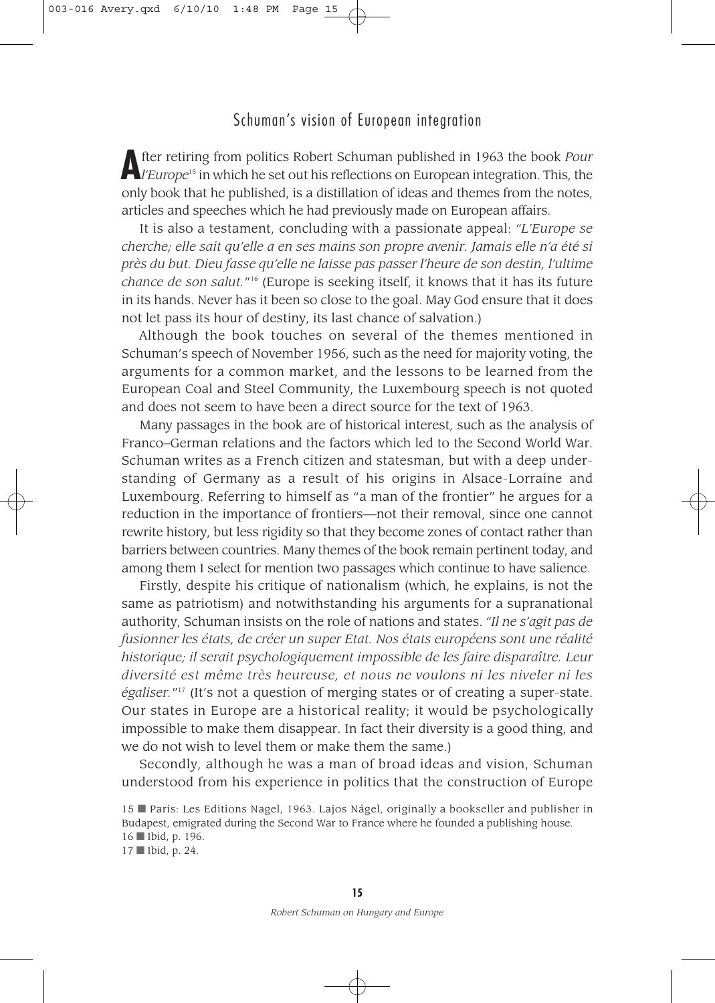## Schuman's vision of European integration

**A** fter retiring from politics Robert Schuman published in 1963 the book *Pour*<br>*l'Europe*<sup>15</sup> in which he set out his reflections on European integration. This, the only book that he published, is a distillation of ideas and themes from the notes, articles and speeches which he had previously made on European affairs.

It is also a testament, concluding with a passionate appeal: *"L'Europe se cherche; elle sait qu'elle a en ses mains son propre avenir. Jamais elle n'a été si près du but. Dieu fasse qu'elle ne laisse pas passer l'heure de son destin, l'ultime chance de son salut.*"16 (Europe is seeking itself, it knows that it has its future in its hands. Never has it been so close to the goal. May God ensure that it does not let pass its hour of destiny, its last chance of salvation.)

Although the book touches on several of the themes mentioned in Schuman's speech of November 1956, such as the need for majority voting, the arguments for a common market, and the lessons to be learned from the European Coal and Steel Community, the Luxembourg speech is not quoted and does not seem to have been a direct source for the text of 1963.

Many passages in the book are of historical interest, such as the analysis of Franco–German relations and the factors which led to the Second World War. Schuman writes as a French citizen and statesman, but with a deep understanding of Germany as a result of his origins in Alsace-Lorraine and Luxembourg. Referring to himself as "a man of the frontier" he argues for a reduction in the importance of frontiers—not their removal, since one cannot rewrite history, but less rigidity so that they become zones of contact rather than barriers between countries. Many themes of the book remain pertinent today, and among them I select for mention two passages which continue to have salience.

Firstly, despite his critique of nationalism (which, he explains, is not the same as patriotism) and notwithstanding his arguments for a supranational authority, Schuman insists on the role of nations and states. *"Il ne s'agit pas de fusionner les états, de créer un super Etat. Nos états européens sont une réalité historique; il serait psychologiquement impossible de les faire disparaître. Leur diversité est même très heureuse, et nous ne voulons ni les niveler ni les égaliser.*"17 (It's not a question of merging states or of creating a super-state. Our states in Europe are a historical reality; it would be psychologically impossible to make them disappear. In fact their diversity is a good thing, and we do not wish to level them or make them the same.)

Secondly, although he was a man of broad ideas and vision, Schuman understood from his experience in politics that the construction of Europe

17 ■ Ibid, p. 24.

<sup>15</sup> ■ Paris: Les Editions Nagel, 1963. Lajos Nágel, originally a bookseller and publisher in Budapest, emigrated during the Second War to France where he founded a publishing house. 16 ■ Ibid, p. 196.